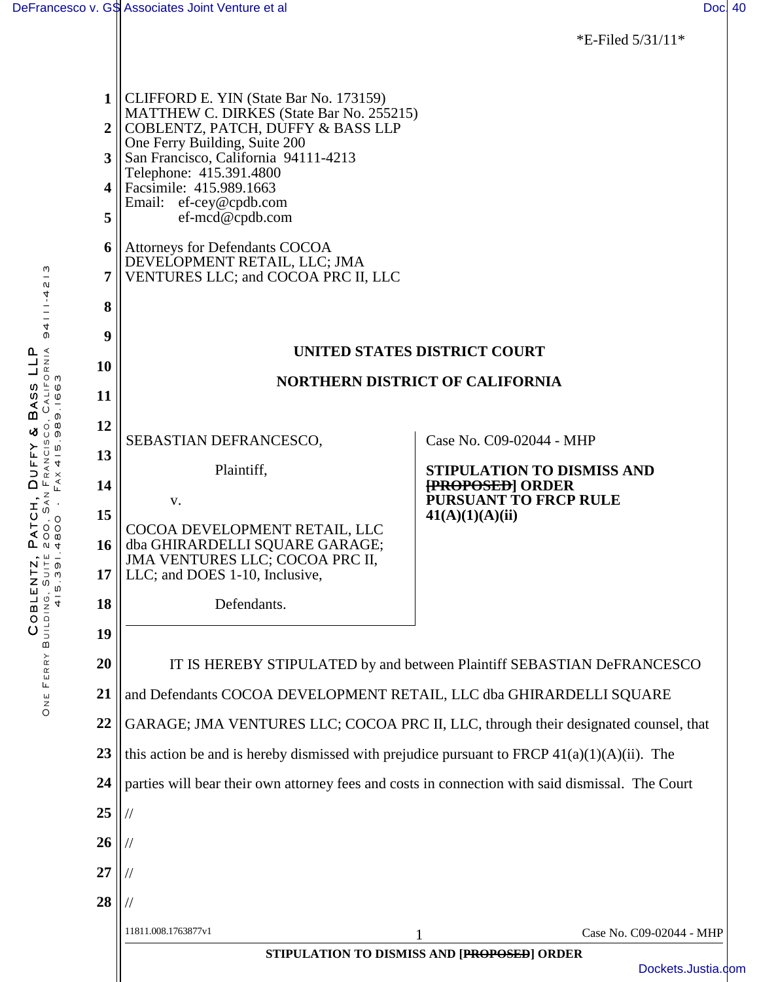|                                             |                                                                                                                                                                                                                                                                                                         | *E-Filed $5/31/11*$                              |  |  |
|---------------------------------------------|---------------------------------------------------------------------------------------------------------------------------------------------------------------------------------------------------------------------------------------------------------------------------------------------------------|--------------------------------------------------|--|--|
| 2 <sup>1</sup><br>3 <sup>1</sup><br>4 <br>5 | $1$ CLIFFORD E. YIN (State Bar No. 173159)<br>MATTHEW C. DIRKES (State Bar No. 255215)<br>COBLENTZ, PATCH, DUFFY & BASS LLP<br>One Ferry Building, Suite 200<br>San Francisco, California 94111-4213<br>Telephone: 415.391.4800<br>Facsimile: 415.989.1663<br>Email: ef-cey@cpdb.com<br>ef-mcd@cpdb.com |                                                  |  |  |
| 6<br>7                                      | Attorneys for Defendants COCOA<br>DEVELOPMENT RETAIL, LLC; JMA<br>VENTURES LLC; and COCOA PRC II, LLC                                                                                                                                                                                                   |                                                  |  |  |
| 8                                           |                                                                                                                                                                                                                                                                                                         |                                                  |  |  |
| 9                                           | UNITED STATES DISTRICT COURT                                                                                                                                                                                                                                                                            |                                                  |  |  |
| 10                                          | <b>NORTHERN DISTRICT OF CALIFORNIA</b>                                                                                                                                                                                                                                                                  |                                                  |  |  |
| 11                                          |                                                                                                                                                                                                                                                                                                         |                                                  |  |  |
| 12                                          | SEBASTIAN DEFRANCESCO,                                                                                                                                                                                                                                                                                  | Case No. C09-02044 - MHP                         |  |  |
| 13                                          | Plaintiff,                                                                                                                                                                                                                                                                                              | <b>STIPULATION TO DISMISS AND</b>                |  |  |
| 14                                          | V.                                                                                                                                                                                                                                                                                                      | [PROPOSED] ORDER<br><b>PURSUANT TO FRCP RULE</b> |  |  |
| 15                                          | COCOA DEVELOPMENT RETAIL, LLC                                                                                                                                                                                                                                                                           | 41(A)(1)(A)(ii)                                  |  |  |
| 16<br>17                                    | dba GHIRARDELLI SQUARE GARAGE;<br>JMA VENTURES LLC; COCOA PRC II,<br>LLC; and DOES 1-10, Inclusive,                                                                                                                                                                                                     |                                                  |  |  |
| 18                                          | Defendants.                                                                                                                                                                                                                                                                                             |                                                  |  |  |
| 19                                          |                                                                                                                                                                                                                                                                                                         |                                                  |  |  |
| 20                                          | IT IS HEREBY STIPULATED by and between Plaintiff SEBASTIAN DeFRANCESCO                                                                                                                                                                                                                                  |                                                  |  |  |
| 21                                          | and Defendants COCOA DEVELOPMENT RETAIL, LLC dba GHIRARDELLI SQUARE                                                                                                                                                                                                                                     |                                                  |  |  |
| 22                                          | GARAGE; JMA VENTURES LLC; COCOA PRC II, LLC, through their designated counsel, that                                                                                                                                                                                                                     |                                                  |  |  |
| 23                                          | this action be and is hereby dismissed with prejudice pursuant to FRCP $41(a)(1)(A)(ii)$ . The                                                                                                                                                                                                          |                                                  |  |  |
| 24                                          | parties will bear their own attorney fees and costs in connection with said dismissal. The Court                                                                                                                                                                                                        |                                                  |  |  |
| 25                                          |                                                                                                                                                                                                                                                                                                         |                                                  |  |  |
| 26                                          |                                                                                                                                                                                                                                                                                                         |                                                  |  |  |
| 27                                          |                                                                                                                                                                                                                                                                                                         |                                                  |  |  |
| 28                                          |                                                                                                                                                                                                                                                                                                         |                                                  |  |  |
|                                             | 11811.008.1763877v1                                                                                                                                                                                                                                                                                     | Case No. C09-02044 - MHP<br>1                    |  |  |
|                                             | STIPULATION TO DISMISS AND [PROPOSED] ORDER<br>Dockets.Justia.co                                                                                                                                                                                                                                        |                                                  |  |  |

[Dockets.Justia.com](http://dockets.justia.com/)